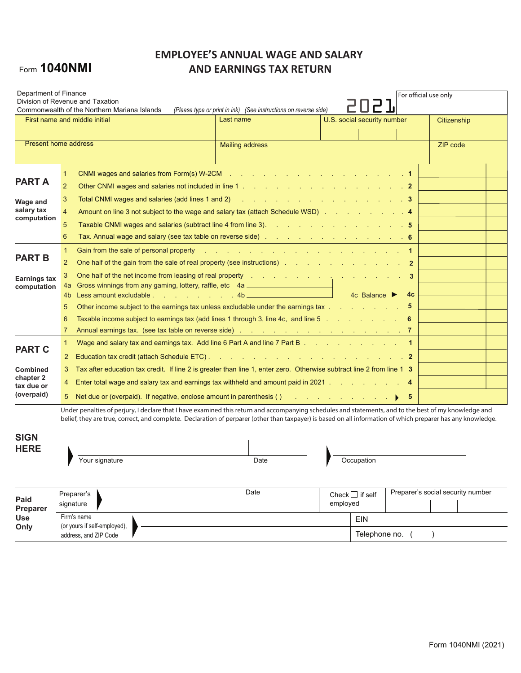# Form 1040NMI

## **EMPLOYEE'S ANNUAL WAGE AND SALARY AND EARNINGS TAX RETURN**

| Department of Finance                                       |                                                                                                                                                                                                                                                                                                                                                                                                                                                           | Division of Revenue and Taxation<br>Commonwealth of the Northern Mariana Islands                                                                                                                                                                                                                                                                                                                                                                                                                                                                                                                                                                                                                      | (Please type or print in ink) (See instructions on reverse side) |          |                             | For official use only |                                   |  |
|-------------------------------------------------------------|-----------------------------------------------------------------------------------------------------------------------------------------------------------------------------------------------------------------------------------------------------------------------------------------------------------------------------------------------------------------------------------------------------------------------------------------------------------|-------------------------------------------------------------------------------------------------------------------------------------------------------------------------------------------------------------------------------------------------------------------------------------------------------------------------------------------------------------------------------------------------------------------------------------------------------------------------------------------------------------------------------------------------------------------------------------------------------------------------------------------------------------------------------------------------------|------------------------------------------------------------------|----------|-----------------------------|-----------------------|-----------------------------------|--|
| First name and middle initial                               |                                                                                                                                                                                                                                                                                                                                                                                                                                                           |                                                                                                                                                                                                                                                                                                                                                                                                                                                                                                                                                                                                                                                                                                       | Last name                                                        |          | U.S. social security number |                       | Citizenship                       |  |
| <b>Present home address</b>                                 |                                                                                                                                                                                                                                                                                                                                                                                                                                                           |                                                                                                                                                                                                                                                                                                                                                                                                                                                                                                                                                                                                                                                                                                       | <b>Mailing address</b>                                           |          |                             |                       | ZIP code                          |  |
| <b>PART A</b>                                               | 1<br>$\overline{2}$                                                                                                                                                                                                                                                                                                                                                                                                                                       | CNMI wages and salaries from Form(s) W-2CM $\ldots$ . The state of the state of the state of the state of the state of the state of the state of the state of the state of the state of the state of the state of the state of t                                                                                                                                                                                                                                                                                                                                                                                                                                                                      |                                                                  |          |                             |                       |                                   |  |
| Wage and<br>salary tax<br>computation                       | 3<br>$\overline{4}$<br>5<br>6                                                                                                                                                                                                                                                                                                                                                                                                                             | Total CNMI wages and salaries (add lines 1 and 2) And Allen Annual Annual Annual Annual Annual Annual Annual A<br>Amount on line 3 not subject to the wage and salary tax (attach Schedule WSD) Amount on line 3 not subject to the wage and salary tax (attach Schedule WSD)<br>Taxable CNMI wages and salaries (subtract line 4 from line 3). The contract of the CNMI wages and salaries (subtract line 4 from line 3).<br>Tax. Annual wage and salary (see tax table on reverse side) and a contract of the control of the state of the S                                                                                                                                                         |                                                                  |          |                             |                       |                                   |  |
| <b>PART B</b><br>Earnings tax<br>computation                | $\mathbf{1}$<br>$\overline{2}$<br>3<br>5                                                                                                                                                                                                                                                                                                                                                                                                                  | Gain from the sale of personal property the state of the same state of the sale of personal property<br>One half of the gain from the sale of real property (see instructions) and a contract of the gain from the sale<br>One half of the net income from leasing of real property the state of the state of the net income from leasing of real property<br>-3<br>Gross winnings from any gaming, lottery, raffle, etc 4a<br>4h<br>4a<br>4c Balance $\blacktriangleright$<br>4c<br>Less amount excludable . The contract of the state of the state of the state of the state of the state of the s<br>4b.<br>Other income subject to the earnings tax unless excludable under the earnings tax<br>5 |                                                                  |          |                             |                       |                                   |  |
|                                                             | 6<br>7                                                                                                                                                                                                                                                                                                                                                                                                                                                    | Taxable income subject to earnings tax (add lines 1 through 3, line 4c, and line 5 [11] Taxable income subject to earnings tax (add lines 1 through 3, line 4c, and line 5                                                                                                                                                                                                                                                                                                                                                                                                                                                                                                                            |                                                                  |          |                             | 6                     |                                   |  |
| <b>PART C</b><br><b>Combined</b><br>chapter 2<br>tax due or | $\mathbf{1}$<br>$\mathbf{2}^{\prime}$<br>3<br>4                                                                                                                                                                                                                                                                                                                                                                                                           | Wage and salary tax and earnings tax. Add line 6 Part A and line 7 Part B $\ldots$ . $\ldots$ . $\ldots$<br>Tax after education tax credit. If line 2 is greater than line 1, enter zero. Otherwise subtract line 2 from line 1 3<br>Enter total wage and salary tax and earnings tax withheld and amount paid in 2021 4                                                                                                                                                                                                                                                                                                                                                                              |                                                                  |          |                             |                       |                                   |  |
| (overpaid)<br><b>SIGN</b>                                   | Net due or (overpaid). If negative, enclose amount in parenthesis () $\qquad \qquad$ . The same set of $\qquad \qquad$<br>5<br>5<br>Under penalties of perjury, I declare that I have examined this return and accompanying schedules and statements, and to the best of my knowledge and<br>belief, they are true, correct, and complete. Declaration of perparer (other than taxpayer) is based on all information of which preparer has any knowledge. |                                                                                                                                                                                                                                                                                                                                                                                                                                                                                                                                                                                                                                                                                                       |                                                                  |          |                             |                       |                                   |  |
| <b>HERE</b>                                                 |                                                                                                                                                                                                                                                                                                                                                                                                                                                           | Your signature                                                                                                                                                                                                                                                                                                                                                                                                                                                                                                                                                                                                                                                                                        | Date                                                             |          | Occupation                  |                       |                                   |  |
| Paid<br>Preparer<br><b>Use</b><br>Only                      |                                                                                                                                                                                                                                                                                                                                                                                                                                                           | Preparer's<br>signature                                                                                                                                                                                                                                                                                                                                                                                                                                                                                                                                                                                                                                                                               | Date                                                             | employed | Check $\Box$ if self        |                       | Preparer's social security number |  |
|                                                             |                                                                                                                                                                                                                                                                                                                                                                                                                                                           | Firm's name<br>(or yours if self-employed),<br>address and ZIP Code                                                                                                                                                                                                                                                                                                                                                                                                                                                                                                                                                                                                                                   |                                                                  |          | EIN<br>Telephone no.        |                       |                                   |  |